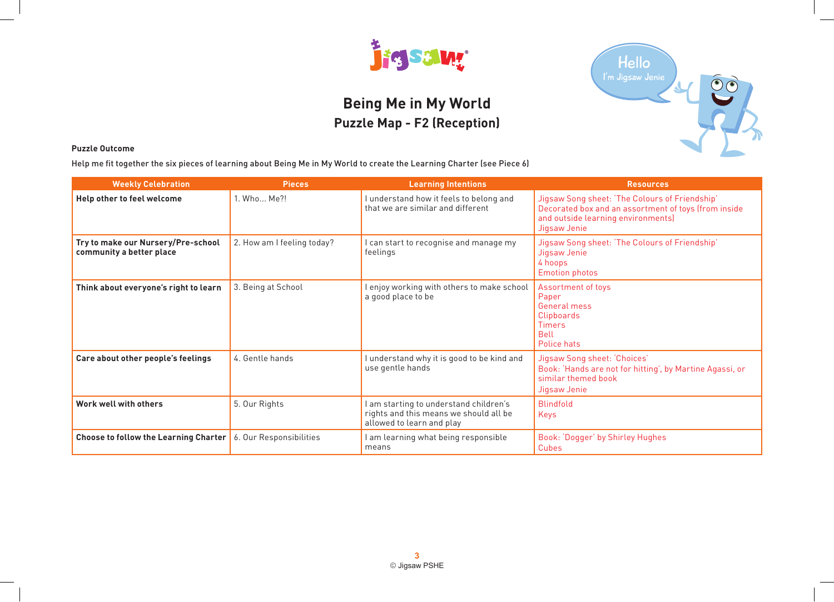

# **Being Me in My World Puzzle Map - F2 (Reception)**



### **Puzzle Outcome**

Help me fit together the six pieces of learning about Being Me in My World to create the Learning Charter (see Piece 6)

| <b>Weekly Celebration</b>                                      | <b>Pieces</b>              | <b>Learning Intentions</b>                                                                                    | <b>Resources</b>                                                                                                                                             |
|----------------------------------------------------------------|----------------------------|---------------------------------------------------------------------------------------------------------------|--------------------------------------------------------------------------------------------------------------------------------------------------------------|
| Help other to feel welcome                                     | 1. Who Me?!                | I understand how it feels to belong and<br>that we are similar and different                                  | Jigsaw Song sheet: 'The Colours of Friendship'<br>Decorated box and an assortment of toys (from inside<br>and outside learning environments)<br>Jigsaw Jenie |
| Try to make our Nursery/Pre-school<br>community a better place | 2. How am I feeling today? | I can start to recognise and manage my<br>feelings                                                            | Jigsaw Song sheet: 'The Colours of Friendship'<br>Jigsaw Jenie<br>4 hoops<br><b>Emotion photos</b>                                                           |
| Think about everyone's right to learn                          | 3. Being at School         | I enjoy working with others to make school<br>a good place to be                                              | Assortment of toys<br>Paper<br>General mess<br>Clipboards<br><b>Timers</b><br><b>Bell</b><br>Police hats                                                     |
| Care about other people's feelings                             | 4. Gentle hands            | I understand why it is good to be kind and<br>use gentle hands                                                | Jigsaw Song sheet: 'Choices'<br>Book: 'Hands are not for hitting', by Martine Agassi, or<br>similar themed book<br>Jigsaw Jenie                              |
| Work well with others                                          | 5. Our Rights              | I am starting to understand children's<br>rights and this means we should all be<br>allowed to learn and play | <b>Blindfold</b><br><b>Kevs</b>                                                                                                                              |
| <b>Choose to follow the Learning Charter</b>                   | 6. Our Responsibilities    | I am learning what being responsible<br>means                                                                 | Book: 'Dogger' by Shirley Hughes<br>Cubes                                                                                                                    |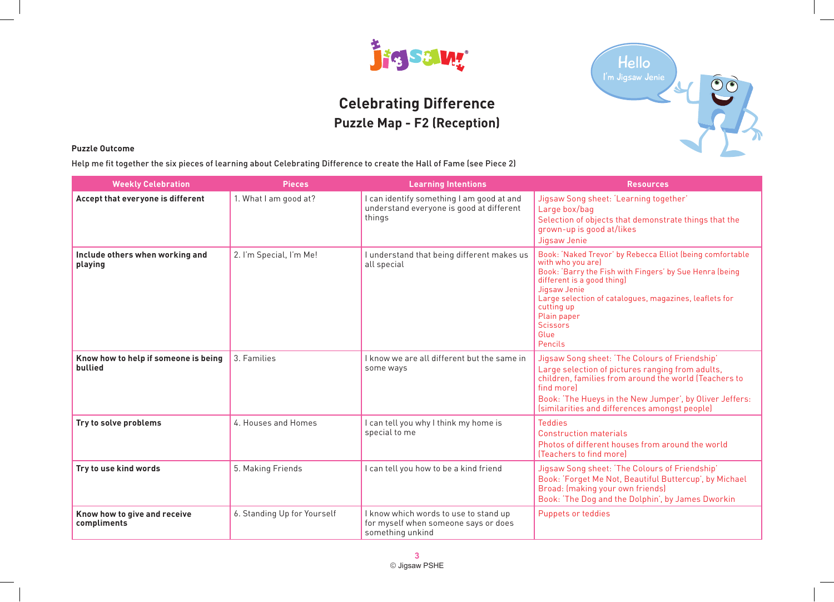

# **Celebrating Difference Puzzle Map - F2 (Reception)**



### **Puzzle Outcome**

Help me fit together the six pieces of learning about Celebrating Difference to create the Hall of Fame (see Piece 2)

| <b>Weekly Celebration</b>                       | <b>Pieces</b>               | <b>Learning Intentions</b>                                                                        | <b>Resources</b>                                                                                                                                                                                                                                                                                                     |
|-------------------------------------------------|-----------------------------|---------------------------------------------------------------------------------------------------|----------------------------------------------------------------------------------------------------------------------------------------------------------------------------------------------------------------------------------------------------------------------------------------------------------------------|
| Accept that everyone is different               | 1. What I am good at?       | I can identify something I am good at and<br>understand everyone is good at different<br>things   | Jigsaw Song sheet: 'Learning together'<br>Large box/bag<br>Selection of objects that demonstrate things that the<br>grown-up is good at/likes<br>Jigsaw Jenie                                                                                                                                                        |
| Include others when working and<br>playing      | 2. I'm Special, I'm Me!     | I understand that being different makes us<br>all special                                         | Book: 'Naked Trevor' by Rebecca Elliot (being comfortable<br>with who you are)<br>Book: 'Barry the Fish with Fingers' by Sue Henra (being<br>different is a good thing)<br>Jigsaw Jenie<br>Large selection of catalogues, magazines, leaflets for<br>cutting up<br>Plain paper<br><b>Scissors</b><br>Glue<br>Pencils |
| Know how to help if someone is being<br>bullied | 3. Families                 | I know we are all different but the same in<br>some ways                                          | Jigsaw Song sheet: 'The Colours of Friendship'<br>Large selection of pictures ranging from adults,<br>children, families from around the world (Teachers to<br>find morel<br>Book: 'The Hueys in the New Jumper', by Oliver Jeffers:<br>(similarities and differences amongst people)                                |
| Try to solve problems                           | 4. Houses and Homes         | I can tell you why I think my home is<br>special to me                                            | <b>Teddies</b><br><b>Construction materials</b><br>Photos of different houses from around the world<br>(Teachers to find more)                                                                                                                                                                                       |
| Try to use kind words                           | 5. Making Friends           | I can tell you how to be a kind friend                                                            | Jigsaw Song sheet: 'The Colours of Friendship'<br>Book: 'Forget Me Not, Beautiful Buttercup', by Michael<br>Broad: (making your own friends)<br>Book: 'The Dog and the Dolphin', by James Dworkin                                                                                                                    |
| Know how to give and receive<br>compliments     | 6. Standing Up for Yourself | I know which words to use to stand up<br>for myself when someone says or does<br>something unkind | Puppets or teddies                                                                                                                                                                                                                                                                                                   |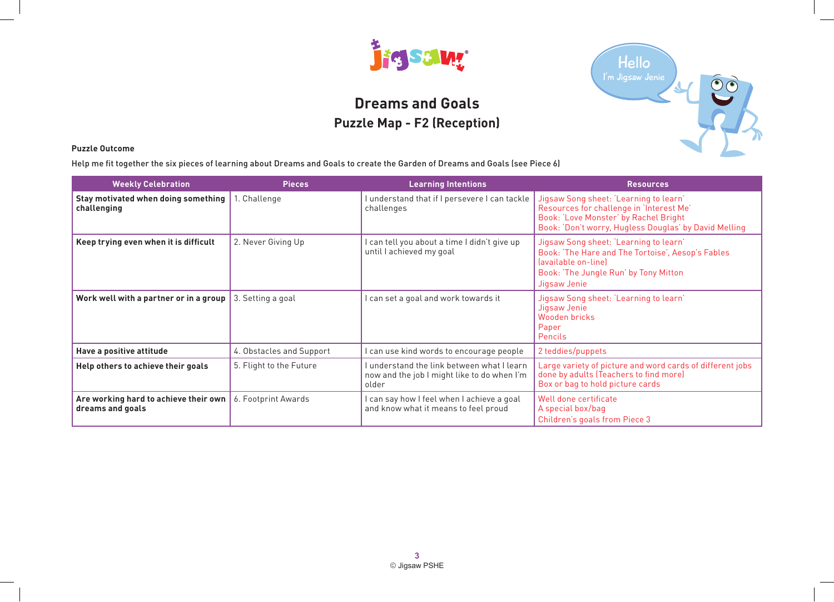

# **Dreams and Goals Puzzle Map - F2 (Reception)**



### **Puzzle Outcome**

Help me fit together the six pieces of learning about Dreams and Goals to create the Garden of Dreams and Goals (see Piece 6)

| <b>Weekly Celebration</b>                                 | <b>Pieces</b>            | <b>Learning Intentions</b>                                                                         | <b>Resources</b>                                                                                                                                                                     |
|-----------------------------------------------------------|--------------------------|----------------------------------------------------------------------------------------------------|--------------------------------------------------------------------------------------------------------------------------------------------------------------------------------------|
| Stay motivated when doing something<br>challenging        | 1. Challenge             | I understand that if I persevere I can tackle<br>challenges                                        | Jigsaw Song sheet: 'Learning to learn'<br>Resources for challenge in 'Interest Me'<br>Book: 'Love Monster' by Rachel Bright<br>Book: 'Don't worry, Hugless Douglas' by David Melling |
| Keep trying even when it is difficult                     | 2. Never Giving Up       | I can tell you about a time I didn't give up<br>until I achieved my goal                           | Jigsaw Song sheet: 'Learning to learn'<br>Book: 'The Hare and The Tortoise', Aesop's Fables<br>favailable on-line<br>Book: 'The Jungle Run' by Tony Mitton<br>Jigsaw Jenie           |
| Work well with a partner or in a group                    | 3. Setting a goal        | I can set a goal and work towards it                                                               | Jigsaw Song sheet: 'Learning to learn'<br>Jigsaw Jenie<br>Wooden bricks<br>Paper<br>Pencils                                                                                          |
| Have a positive attitude                                  | 4. Obstacles and Support | I can use kind words to encourage people                                                           | 2 teddies/puppets                                                                                                                                                                    |
| Help others to achieve their goals                        | 5. Flight to the Future  | I understand the link between what I learn<br>now and the job I might like to do when I'm<br>older | Large variety of picture and word cards of different jobs<br>done by adults (Teachers to find more)<br>Box or bag to hold picture cards                                              |
| Are working hard to achieve their own<br>dreams and goals | 6. Footprint Awards      | I can say how I feel when I achieve a goal<br>and know what it means to feel proud                 | Well done certificate<br>A special box/bag<br>Children's goals from Piece 3                                                                                                          |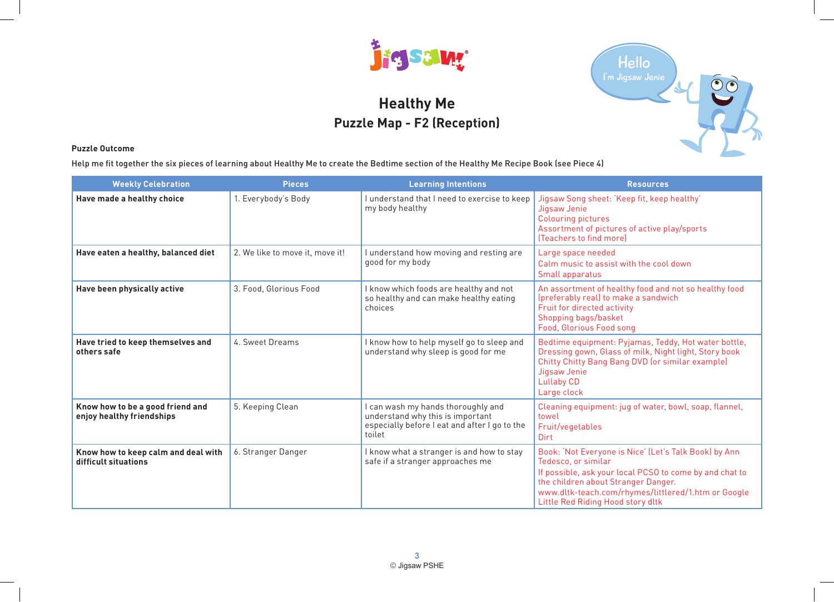

# **Healthy Me Puzzle Map - F2 (Reception)**



#### **Puzzle Outcome**

Help me fit together the six pieces of learning about Healthy Me to create the Bedtime section of the Healthy Me Recipe Book (see Piece 4)

| <b>Weekly Celebration</b>                                     | <b>Pieces</b>                   | <b>Learning Intentions</b>                                                                                                        | <b>Resources</b>                                                                                                                                                                                                                                                           |
|---------------------------------------------------------------|---------------------------------|-----------------------------------------------------------------------------------------------------------------------------------|----------------------------------------------------------------------------------------------------------------------------------------------------------------------------------------------------------------------------------------------------------------------------|
| Have made a healthy choice                                    | 1. Everybody's Body             | I understand that I need to exercise to keep<br>my body healthy                                                                   | Jigsaw Song sheet: 'Keep fit, keep healthy'<br>Jigsaw Jenie<br><b>Colouring pictures</b><br>Assortment of pictures of active play/sports<br>[Teachers to find more]                                                                                                        |
| Have eaten a healthy, balanced diet                           | 2. We like to move it, move it! | I understand how moving and resting are<br>good for my body                                                                       | Large space needed<br>Calm music to assist with the cool down<br>Small apparatus                                                                                                                                                                                           |
| Have been physically active                                   | 3. Food, Glorious Food          | I know which foods are healthy and not<br>so healthy and can make healthy eating<br>choices                                       | An assortment of healthy food and not so healthy food<br>(preferably real) to make a sandwich<br>Fruit for directed activity<br>Shopping bags/basket<br>Food, Glorious Food song                                                                                           |
| Have tried to keep themselves and<br>others safe              | 4. Sweet Dreams                 | I know how to help myself go to sleep and<br>understand why sleep is good for me                                                  | Bedtime equipment: Pyjamas, Teddy, Hot water bottle,<br>Dressing gown, Glass of milk, Night light, Story book<br>Chitty Chitty Bang Bang DVD (or similar example)<br>Jigsaw Jenie<br><b>Lullaby CD</b><br>Large clock                                                      |
| Know how to be a good friend and<br>enjoy healthy friendships | 5. Keeping Clean                | I can wash my hands thoroughly and<br>understand why this is important<br>especially before I eat and after I go to the<br>toilet | Cleaning equipment: jug of water, bowl, soap, flannel,<br>towel<br>Fruit/vegetables<br>Dirt                                                                                                                                                                                |
| Know how to keep calm and deal with<br>difficult situations   | 6. Stranger Danger              | I know what a stranger is and how to stay<br>safe if a stranger approaches me                                                     | Book: 'Not Everyone is Nice' (Let's Talk Book) by Ann<br>Tedesco, or similar<br>If possible, ask your local PCSO to come by and chat to<br>the children about Stranger Danger.<br>www.dltk-teach.com/rhymes/littlered/1.htm or Google<br>Little Red Riding Hood story dltk |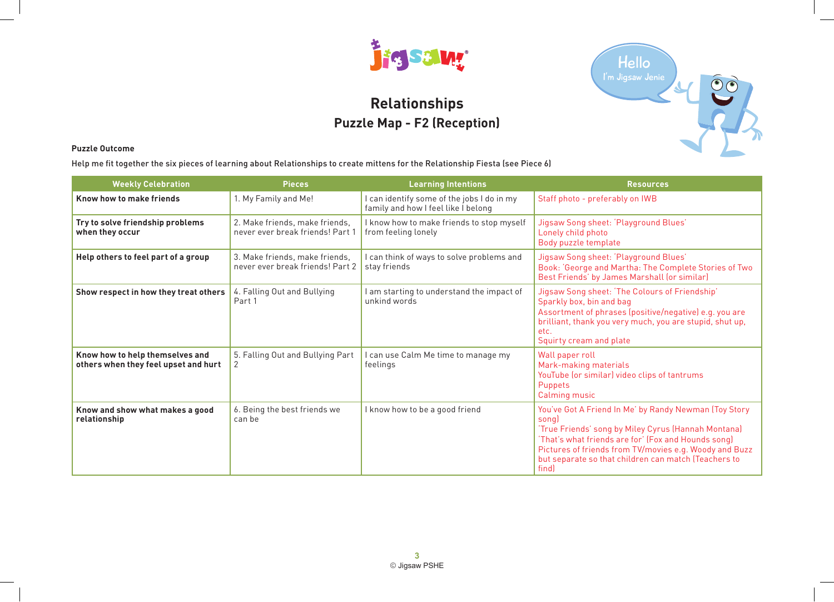

# **Relationships Puzzle Map - F2 (Reception)**



### **Puzzle Outcome**

Help me fit together the six pieces of learning about Relationships to create mittens for the Relationship Fiesta (see Piece 6)

| <b>Weekly Celebration</b>                                               | <b>Pieces</b>                                                      | <b>Learning Intentions</b>                                                        | <b>Resources</b>                                                                                                                                                                                                                                                                                      |
|-------------------------------------------------------------------------|--------------------------------------------------------------------|-----------------------------------------------------------------------------------|-------------------------------------------------------------------------------------------------------------------------------------------------------------------------------------------------------------------------------------------------------------------------------------------------------|
| Know how to make friends                                                | 1. My Family and Me!                                               | I can identify some of the jobs I do in my<br>family and how I feel like I belong | Staff photo - preferably on IWB                                                                                                                                                                                                                                                                       |
| Try to solve friendship problems<br>when they occur                     | 2. Make friends, make friends,<br>never ever break friends! Part 1 | I know how to make friends to stop myself<br>from feeling lonely                  | Jigsaw Song sheet: 'Playground Blues'<br>Lonely child photo<br>Body puzzle template                                                                                                                                                                                                                   |
| Help others to feel part of a group                                     | 3. Make friends, make friends,<br>never ever break friends! Part 2 | I can think of ways to solve problems and<br>stay friends                         | Jigsaw Song sheet: 'Playground Blues'<br>Book: 'George and Martha: The Complete Stories of Two<br>Best Friends' by James Marshall (or similar)                                                                                                                                                        |
| Show respect in how they treat others                                   | 4. Falling Out and Bullying<br>Part 1                              | I am starting to understand the impact of<br>unkind words                         | Jigsaw Song sheet: 'The Colours of Friendship'<br>Sparkly box, bin and bag<br>Assortment of phrases (positive/negative) e.g. you are<br>brilliant, thank you very much, you are stupid, shut up,<br>etc.<br>Squirty cream and plate                                                                   |
| Know how to help themselves and<br>others when they feel upset and hurt | 5. Falling Out and Bullying Part<br>2                              | I can use Calm Me time to manage my<br>feelings                                   | Wall paper roll<br>Mark-making materials<br>YouTube (or similar) video clips of tantrums<br>Puppets<br>Calming music                                                                                                                                                                                  |
| Know and show what makes a good<br>relationship                         | 6. Being the best friends we<br>can be                             | I know how to be a good friend                                                    | You've Got A Friend In Me' by Randy Newman (Toy Story<br>song<br>'True Friends' song by Miley Cyrus (Hannah Montana)<br>'That's what friends are for' (Fox and Hounds song)<br>Pictures of friends from TV/movies e.g. Woody and Buzz<br>but separate so that children can match (Teachers to<br>find |